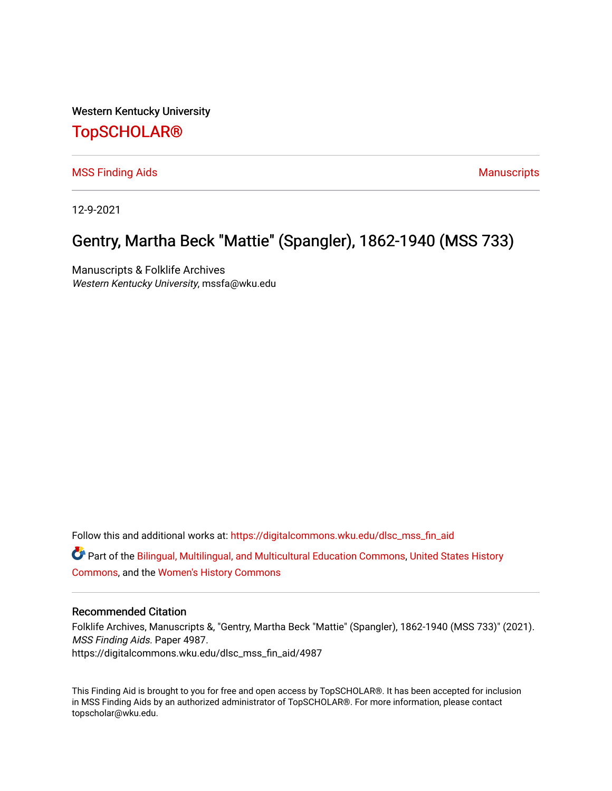Western Kentucky University

## [TopSCHOLAR®](https://digitalcommons.wku.edu/)

[MSS Finding Aids](https://digitalcommons.wku.edu/dlsc_mss_fin_aid) **Manuscripts** [Manuscripts](https://digitalcommons.wku.edu/dlsc_mss) **Manuscripts** 

12-9-2021

# Gentry, Martha Beck "Mattie" (Spangler), 1862-1940 (MSS 733)

Manuscripts & Folklife Archives Western Kentucky University, mssfa@wku.edu

Follow this and additional works at: [https://digitalcommons.wku.edu/dlsc\\_mss\\_fin\\_aid](https://digitalcommons.wku.edu/dlsc_mss_fin_aid?utm_source=digitalcommons.wku.edu%2Fdlsc_mss_fin_aid%2F4987&utm_medium=PDF&utm_campaign=PDFCoverPages)  Part of the [Bilingual, Multilingual, and Multicultural Education Commons,](http://network.bepress.com/hgg/discipline/785?utm_source=digitalcommons.wku.edu%2Fdlsc_mss_fin_aid%2F4987&utm_medium=PDF&utm_campaign=PDFCoverPages) [United States History](http://network.bepress.com/hgg/discipline/495?utm_source=digitalcommons.wku.edu%2Fdlsc_mss_fin_aid%2F4987&utm_medium=PDF&utm_campaign=PDFCoverPages)  [Commons](http://network.bepress.com/hgg/discipline/495?utm_source=digitalcommons.wku.edu%2Fdlsc_mss_fin_aid%2F4987&utm_medium=PDF&utm_campaign=PDFCoverPages), and the [Women's History Commons](http://network.bepress.com/hgg/discipline/507?utm_source=digitalcommons.wku.edu%2Fdlsc_mss_fin_aid%2F4987&utm_medium=PDF&utm_campaign=PDFCoverPages) 

#### Recommended Citation

Folklife Archives, Manuscripts &, "Gentry, Martha Beck "Mattie" (Spangler), 1862-1940 (MSS 733)" (2021). MSS Finding Aids. Paper 4987. https://digitalcommons.wku.edu/dlsc\_mss\_fin\_aid/4987

This Finding Aid is brought to you for free and open access by TopSCHOLAR®. It has been accepted for inclusion in MSS Finding Aids by an authorized administrator of TopSCHOLAR®. For more information, please contact topscholar@wku.edu.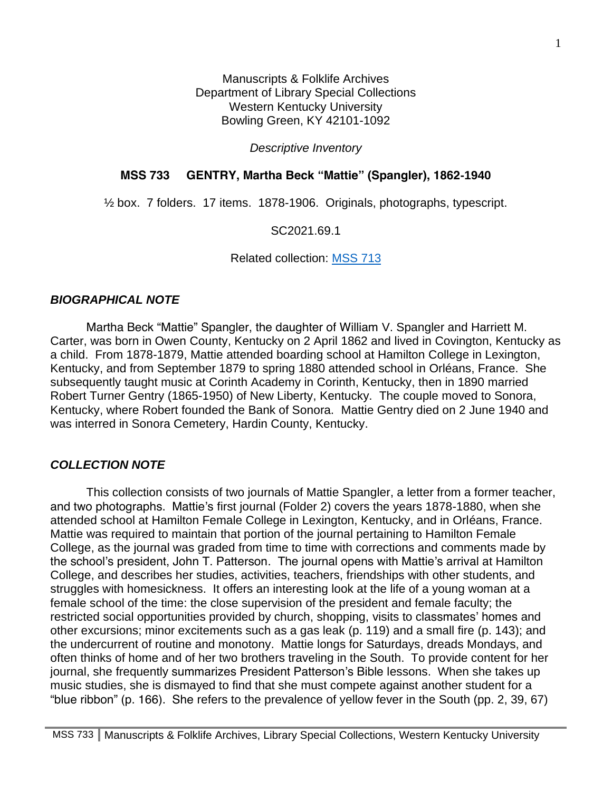Manuscripts & Folklife Archives Department of Library Special Collections Western Kentucky University Bowling Green, KY 42101-1092

*Descriptive Inventory*

#### **MSS 733 GENTRY, Martha Beck "Mattie" (Spangler), 1862-1940**

½ box. 7 folders. 17 items. 1878-1906. Originals, photographs, typescript.

SC2021.69.1

Related collection: [MSS 713](https://digitalcommons.wku.edu/dlsc_mss_fin_aid/4913/)

#### *BIOGRAPHICAL NOTE*

Martha Beck "Mattie" Spangler, the daughter of William V. Spangler and Harriett M. Carter, was born in Owen County, Kentucky on 2 April 1862 and lived in Covington, Kentucky as a child. From 1878-1879, Mattie attended boarding school at Hamilton College in Lexington, Kentucky, and from September 1879 to spring 1880 attended school in Orléans, France. She subsequently taught music at Corinth Academy in Corinth, Kentucky, then in 1890 married Robert Turner Gentry (1865-1950) of New Liberty, Kentucky. The couple moved to Sonora, Kentucky, where Robert founded the Bank of Sonora. Mattie Gentry died on 2 June 1940 and was interred in Sonora Cemetery, Hardin County, Kentucky.

#### *COLLECTION NOTE*

This collection consists of two journals of Mattie Spangler, a letter from a former teacher, and two photographs. Mattie's first journal (Folder 2) covers the years 1878-1880, when she attended school at Hamilton Female College in Lexington, Kentucky, and in Orléans, France. Mattie was required to maintain that portion of the journal pertaining to Hamilton Female College, as the journal was graded from time to time with corrections and comments made by the school's president, John T. Patterson. The journal opens with Mattie's arrival at Hamilton College, and describes her studies, activities, teachers, friendships with other students, and struggles with homesickness. It offers an interesting look at the life of a young woman at a female school of the time: the close supervision of the president and female faculty; the restricted social opportunities provided by church, shopping, visits to classmates' homes and other excursions; minor excitements such as a gas leak (p. 119) and a small fire (p. 143); and the undercurrent of routine and monotony. Mattie longs for Saturdays, dreads Mondays, and often thinks of home and of her two brothers traveling in the South. To provide content for her journal, she frequently summarizes President Patterson's Bible lessons. When she takes up music studies, she is dismayed to find that she must compete against another student for a "blue ribbon" (p. 166). She refers to the prevalence of yellow fever in the South (pp. 2, 39, 67)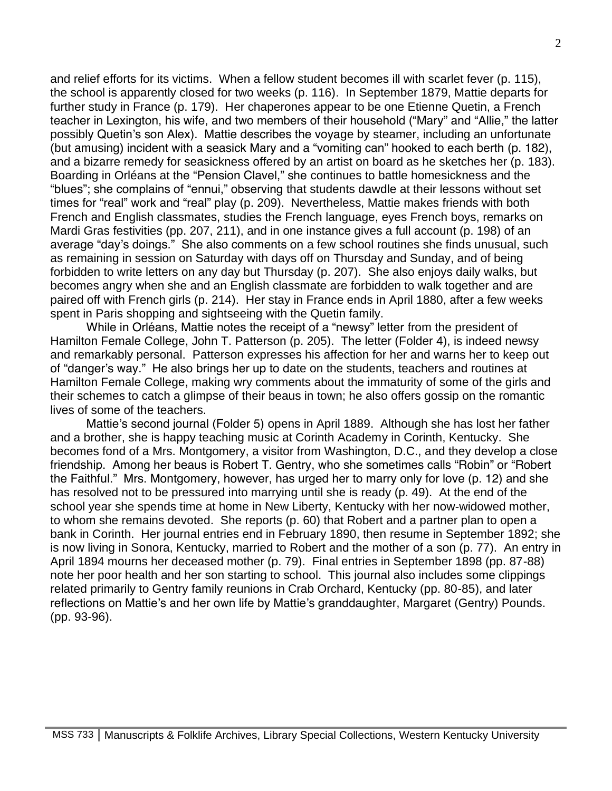and relief efforts for its victims. When a fellow student becomes ill with scarlet fever (p. 115), the school is apparently closed for two weeks (p. 116). In September 1879, Mattie departs for further study in France (p. 179). Her chaperones appear to be one Etienne Quetin, a French teacher in Lexington, his wife, and two members of their household ("Mary" and "Allie," the latter possibly Quetin's son Alex). Mattie describes the voyage by steamer, including an unfortunate (but amusing) incident with a seasick Mary and a "vomiting can" hooked to each berth (p. 182), and a bizarre remedy for seasickness offered by an artist on board as he sketches her (p. 183). Boarding in Orléans at the "Pension Clavel," she continues to battle homesickness and the "blues"; she complains of "ennui," observing that students dawdle at their lessons without set times for "real" work and "real" play (p. 209). Nevertheless, Mattie makes friends with both French and English classmates, studies the French language, eyes French boys, remarks on Mardi Gras festivities (pp. 207, 211), and in one instance gives a full account (p. 198) of an average "day's doings." She also comments on a few school routines she finds unusual, such as remaining in session on Saturday with days off on Thursday and Sunday, and of being forbidden to write letters on any day but Thursday (p. 207). She also enjoys daily walks, but becomes angry when she and an English classmate are forbidden to walk together and are paired off with French girls (p. 214). Her stay in France ends in April 1880, after a few weeks spent in Paris shopping and sightseeing with the Quetin family.

While in Orléans, Mattie notes the receipt of a "newsy" letter from the president of Hamilton Female College, John T. Patterson (p. 205). The letter (Folder 4), is indeed newsy and remarkably personal. Patterson expresses his affection for her and warns her to keep out of "danger's way." He also brings her up to date on the students, teachers and routines at Hamilton Female College, making wry comments about the immaturity of some of the girls and their schemes to catch a glimpse of their beaus in town; he also offers gossip on the romantic lives of some of the teachers.

Mattie's second journal (Folder 5) opens in April 1889. Although she has lost her father and a brother, she is happy teaching music at Corinth Academy in Corinth, Kentucky. She becomes fond of a Mrs. Montgomery, a visitor from Washington, D.C., and they develop a close friendship. Among her beaus is Robert T. Gentry, who she sometimes calls "Robin" or "Robert the Faithful." Mrs. Montgomery, however, has urged her to marry only for love (p. 12) and she has resolved not to be pressured into marrying until she is ready (p. 49). At the end of the school year she spends time at home in New Liberty, Kentucky with her now-widowed mother, to whom she remains devoted. She reports (p. 60) that Robert and a partner plan to open a bank in Corinth. Her journal entries end in February 1890, then resume in September 1892; she is now living in Sonora, Kentucky, married to Robert and the mother of a son (p. 77). An entry in April 1894 mourns her deceased mother (p. 79). Final entries in September 1898 (pp. 87-88) note her poor health and her son starting to school. This journal also includes some clippings related primarily to Gentry family reunions in Crab Orchard, Kentucky (pp. 80-85), and later reflections on Mattie's and her own life by Mattie's granddaughter, Margaret (Gentry) Pounds. (pp. 93-96).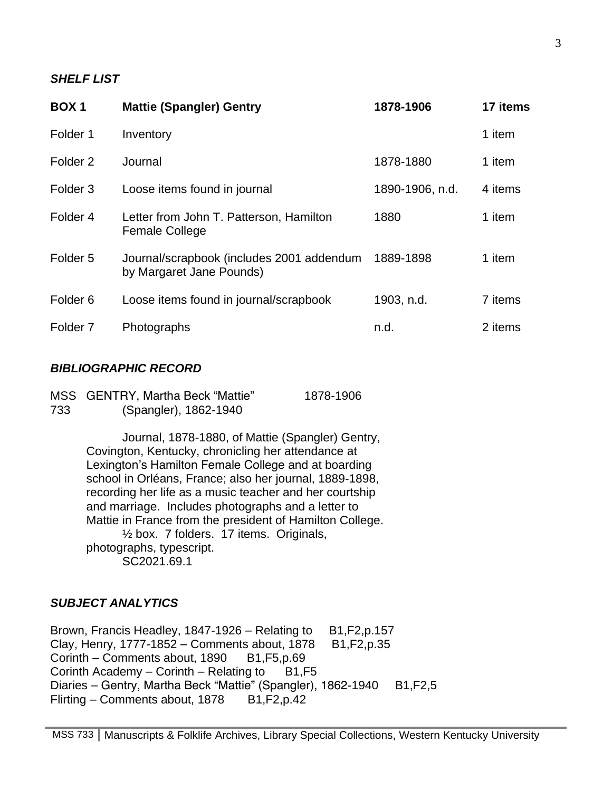#### *SHELF LIST*

| <b>BOX1</b>         | <b>Mattie (Spangler) Gentry</b>                                       | 1878-1906       | 17 items |
|---------------------|-----------------------------------------------------------------------|-----------------|----------|
| Folder 1            | Inventory                                                             |                 | 1 item   |
| Folder <sub>2</sub> | Journal                                                               | 1878-1880       | 1 item   |
| Folder <sub>3</sub> | Loose items found in journal                                          | 1890-1906, n.d. | 4 items  |
| Folder <sub>4</sub> | Letter from John T. Patterson, Hamilton<br><b>Female College</b>      | 1880            | 1 item   |
| Folder <sub>5</sub> | Journal/scrapbook (includes 2001 addendum<br>by Margaret Jane Pounds) | 1889-1898       | 1 item   |
| Folder <sub>6</sub> | Loose items found in journal/scrapbook                                | 1903, n.d.      | 7 items  |
| Folder <sub>7</sub> | Photographs                                                           | n.d.            | 2 items  |

### *BIBLIOGRAPHIC RECORD*

|     | MSS GENTRY, Martha Beck "Mattie" | 1878-1906 |
|-----|----------------------------------|-----------|
| 733 | (Spangler), 1862-1940            |           |

Journal, 1878-1880, of Mattie (Spangler) Gentry, Covington, Kentucky, chronicling her attendance at Lexington's Hamilton Female College and at boarding school in Orléans, France; also her journal, 1889-1898, recording her life as a music teacher and her courtship and marriage. Includes photographs and a letter to Mattie in France from the president of Hamilton College. ½ box. 7 folders. 17 items. Originals, photographs, typescript. SC2021.69.1

#### *SUBJECT ANALYTICS*

Brown, Francis Headley, 1847-1926 – Relating to  $B1, F2, p.157$ Clay, Henry, 1777-1852 – Comments about, 1878 B1, F2, p. 35 Corinth – Comments about,  $1890$  B1, F5, p.69 Corinth Academy – Corinth – Relating to  $B1, F5$ Diaries – Gentry, Martha Beck "Mattie" (Spangler), 1862-1940 B1, F2, 5 Flirting – Comments about, 1878 B1, F2, p.42